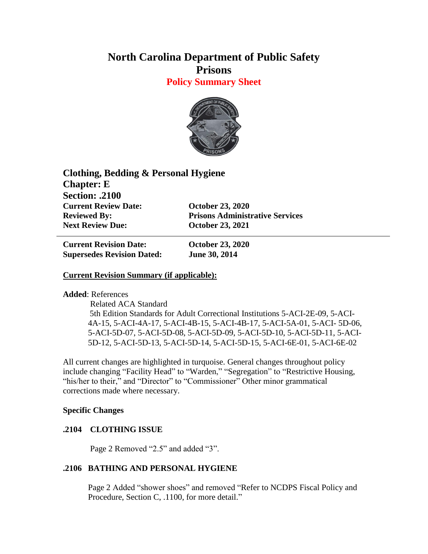# **North Carolina Department of Public Safety Prisons**

**Policy Summary Sheet**



**Clothing, Bedding & Personal Hygiene Chapter: E Section: .2100 Current Review Date: October 23, 2020 Reviewed By: Prisons Administrative Services Next Review Due: October 23, 2021**

**Current Revision Date: October 23, 2020 Supersedes Revision Dated: June 30, 2014**

## **Current Revision Summary (if applicable):**

**Added**: References

 Related ACA Standard 5th Edition Standards for Adult Correctional Institutions 5-ACI-2E-09, 5-ACI-4A-15, 5-ACI-4A-17, 5-ACI-4B-15, 5-ACI-4B-17, 5-ACI-5A-01, 5-ACI- 5D-06, 5-ACI-5D-07, 5-ACI-5D-08, 5-ACI-5D-09, 5-ACI-5D-10, 5-ACI-5D-11, 5-ACI-5D-12, 5-ACI-5D-13, 5-ACI-5D-14, 5-ACI-5D-15, 5-ACI-6E-01, 5-ACI-6E-02

All current changes are highlighted in turquoise. General changes throughout policy include changing "Facility Head" to "Warden," "Segregation" to "Restrictive Housing, "his/her to their," and "Director" to "Commissioner" Other minor grammatical corrections made where necessary.

### **Specific Changes**

## **.2104 CLOTHING ISSUE**

Page 2 Removed "2.5" and added "3".

### **.2106 BATHING AND PERSONAL HYGIENE**

Page 2 Added "shower shoes" and removed "Refer to NCDPS Fiscal Policy and Procedure, Section C, .1100, for more detail."